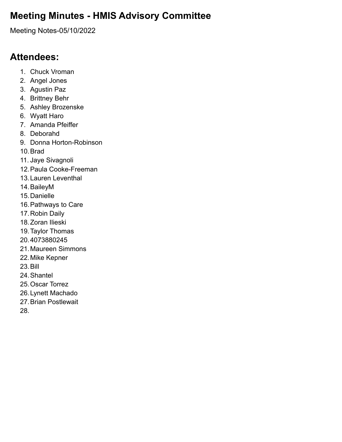# **Meeting Minutes - HMIS Advisory Committee**

Meeting Notes-05/10/2022

## **Attendees:**

- 1. Chuck Vroman
- 2. Angel Jones
- 3. Agustin Paz
- 4. Brittney Behr
- 5. Ashley Brozenske
- 6. Wyatt Haro
- 7. Amanda Pfeiffer
- 8. Deborahd
- 9. Donna Horton-Robinson
- 10.Brad
- 11. Jaye Sivagnoli
- 12.Paula Cooke-Freeman
- 13.Lauren Leventhal
- 14.BaileyM
- 15.Danielle
- 16.Pathways to Care
- 17.Robin Daily
- 18.Zoran Ilieski
- 19.Taylor Thomas
- 20.4073880245
- 21.Maureen Simmons
- 22.Mike Kepner
- 23.Bill
- 24.Shantel
- 25.Oscar Torrez
- 26.Lynett Machado
- 27.Brian Postlewait
- 28.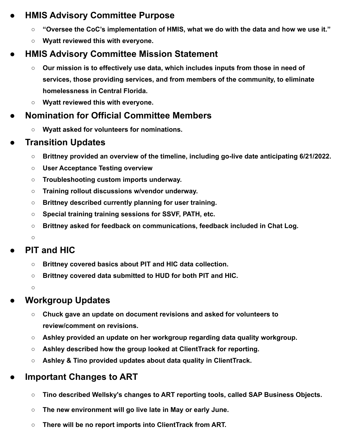### **● HMIS Advisory Committee Purpose**

- **○ "Oversee the CoC's implementation of HMIS, what we do with the data and how we use it."**
- **○ Wyatt reviewed this with everyone.**

# **● HMIS Advisory Committee Mission Statement**

- **○ Our mission is to effectively use data, which includes inputs from those in need of services, those providing services, and from members of the community, to eliminate homelessness in Central Florida.**
- **○ Wyatt reviewed this with everyone.**

# **● Nomination for Official Committee Members**

**○ Wyatt asked for volunteers for nominations.**

# **● Transition Updates**

- **○ Brittney provided an overview of the timeline, including go-live date anticipating 6/21/2022.**
- **○ User Acceptance Testing overview**
- **○ Troubleshooting custom imports underway.**
- **○ Training rollout discussions w/vendor underway.**
- **○ Brittney described currently planning for user training.**
- **○ Special training training sessions for SSVF, PATH, etc.**
- **○ Brittney asked for feedback on communications, feedback included in Chat Log.**

**○**

# **● PIT and HIC**

- **○ Brittney covered basics about PIT and HIC data collection.**
- **○ Brittney covered data submitted to HUD for both PIT and HIC.**

**○**

# **● Workgroup Updates**

- **○ Chuck gave an update on document revisions and asked for volunteers to review/comment on revisions.**
- **○ Ashley provided an update on her workgroup regarding data quality workgroup.**
- **○ Ashley described how the group looked at ClientTrack for reporting.**
- **○ Ashley & Tino provided updates about data quality in ClientTrack.**

# **● Important Changes to ART**

- **○ Tino described Wellsky's changes to ART reporting tools, called SAP Business Objects.**
- **○ The new environment will go live late in May or early June.**
- **○ There will be no report imports into ClientTrack from ART.**